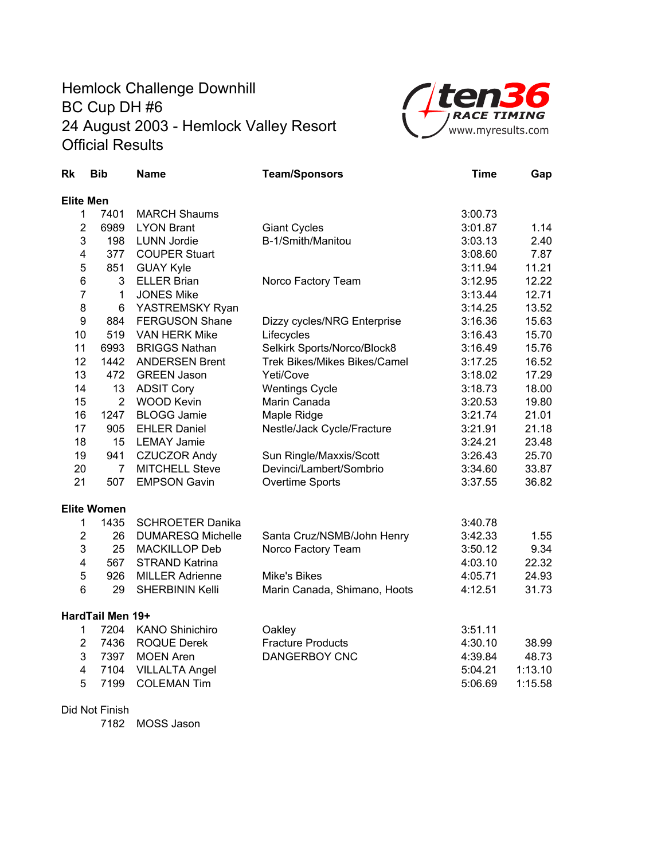## Hemlock Challenge Downhill BC Cup DH #6 24 August 2003 - Hemlock Valley Resort Official Results



| <b>Rk</b>               | <b>Bib</b>         | <b>Name</b>              | <b>Team/Sponsors</b>         | <b>Time</b> | Gap     |
|-------------------------|--------------------|--------------------------|------------------------------|-------------|---------|
| <b>Elite Men</b>        |                    |                          |                              |             |         |
| 1                       | 7401               | <b>MARCH Shaums</b>      |                              | 3:00.73     |         |
| $\overline{2}$          | 6989               | <b>LYON Brant</b>        | <b>Giant Cycles</b>          | 3:01.87     | 1.14    |
| 3                       | 198                | <b>LUNN Jordie</b>       | B-1/Smith/Manitou            | 3:03.13     | 2.40    |
| $\overline{\mathbf{4}}$ | 377                | <b>COUPER Stuart</b>     |                              | 3:08.60     | 7.87    |
| 5                       | 851                | <b>GUAY Kyle</b>         |                              | 3:11.94     | 11.21   |
| 6                       | 3                  | <b>ELLER Brian</b>       | Norco Factory Team           | 3:12.95     | 12.22   |
| $\overline{7}$          | 1                  | <b>JONES Mike</b>        |                              | 3:13.44     | 12.71   |
| 8                       | 6                  | YASTREMSKY Ryan          |                              | 3:14.25     | 13.52   |
| 9                       | 884                | <b>FERGUSON Shane</b>    | Dizzy cycles/NRG Enterprise  | 3:16.36     | 15.63   |
| 10                      | 519                | <b>VAN HERK Mike</b>     | Lifecycles                   | 3:16.43     | 15.70   |
| 11                      | 6993               | <b>BRIGGS Nathan</b>     | Selkirk Sports/Norco/Block8  | 3:16.49     | 15.76   |
| 12                      | 1442               | <b>ANDERSEN Brent</b>    | Trek Bikes/Mikes Bikes/Camel | 3:17.25     | 16.52   |
| 13                      | 472                | <b>GREEN Jason</b>       | Yeti/Cove                    | 3:18.02     | 17.29   |
| 14                      | 13                 | <b>ADSIT Cory</b>        | <b>Wentings Cycle</b>        | 3:18.73     | 18.00   |
| 15                      | $\overline{2}$     | <b>WOOD Kevin</b>        | Marin Canada                 | 3:20.53     | 19.80   |
| 16                      | 1247               | <b>BLOGG Jamie</b>       | Maple Ridge                  | 3:21.74     | 21.01   |
| 17                      | 905                | <b>EHLER Daniel</b>      | Nestle/Jack Cycle/Fracture   | 3:21.91     | 21.18   |
| 18                      | 15                 | <b>LEMAY Jamie</b>       |                              | 3:24.21     | 23.48   |
| 19                      | 941                | <b>CZUCZOR Andy</b>      | Sun Ringle/Maxxis/Scott      | 3:26.43     | 25.70   |
| 20                      | $\overline{7}$     | <b>MITCHELL Steve</b>    | Devinci/Lambert/Sombrio      | 3:34.60     | 33.87   |
| 21                      | 507                | <b>EMPSON Gavin</b>      | Overtime Sports              | 3:37.55     | 36.82   |
|                         | <b>Elite Women</b> |                          |                              |             |         |
| 1                       | 1435               | <b>SCHROETER Danika</b>  |                              | 3:40.78     |         |
| $\overline{2}$          | 26                 | <b>DUMARESQ Michelle</b> | Santa Cruz/NSMB/John Henry   | 3:42.33     | 1.55    |
| 3                       | 25                 | <b>MACKILLOP Deb</b>     | Norco Factory Team           | 3:50.12     | 9.34    |
| $\overline{\mathbf{4}}$ | 567                | <b>STRAND Katrina</b>    |                              | 4:03.10     | 22.32   |
| 5                       | 926                | <b>MILLER Adrienne</b>   | <b>Mike's Bikes</b>          | 4:05.71     | 24.93   |
| 6                       | 29                 | <b>SHERBININ Kelli</b>   | Marin Canada, Shimano, Hoots | 4:12.51     | 31.73   |
|                         | HardTail Men 19+   |                          |                              |             |         |
| 1                       | 7204               | <b>KANO Shinichiro</b>   | Oakley                       | 3:51.11     |         |
| $\overline{2}$          | 7436               | <b>ROQUE Derek</b>       | <b>Fracture Products</b>     | 4:30.10     | 38.99   |
| 3                       | 7397               | <b>MOEN Aren</b>         | <b>DANGERBOY CNC</b>         | 4:39.84     | 48.73   |
| $\overline{\mathbf{4}}$ | 7104               | <b>VILLALTA Angel</b>    |                              | 5:04.21     | 1:13.10 |
| 5                       | 7199               | <b>COLEMAN Tim</b>       |                              | 5:06.69     | 1:15.58 |

## Did Not Finish

7182 MOSS Jason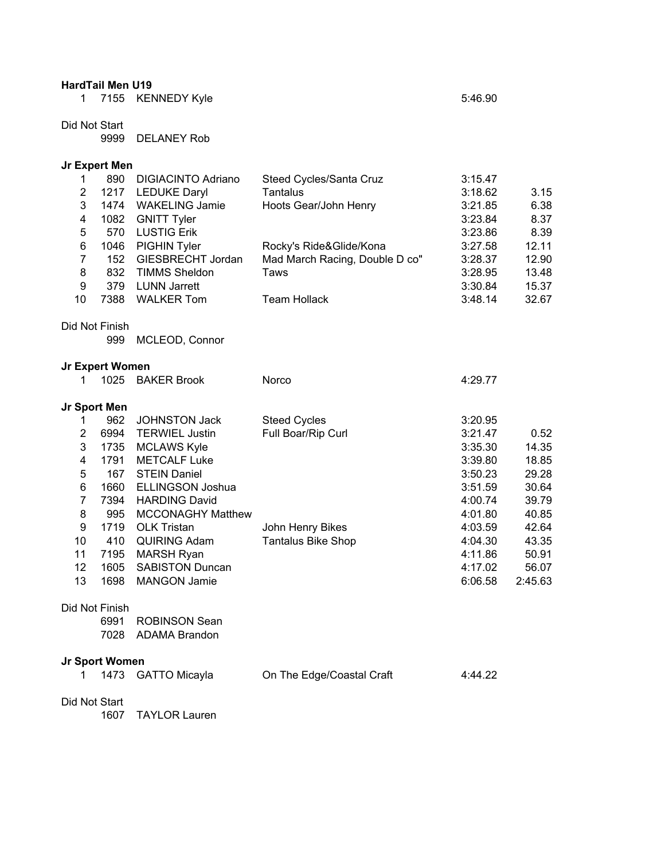|                | <b>HardTail Men U19</b> |                           |                                |         |         |
|----------------|-------------------------|---------------------------|--------------------------------|---------|---------|
| 1              |                         | 7155 KENNEDY Kyle         |                                | 5:46.90 |         |
| Did Not Start  |                         |                           |                                |         |         |
|                | 9999                    | <b>DELANEY Rob</b>        |                                |         |         |
|                | Jr Expert Men           |                           |                                |         |         |
| 1              | 890                     | <b>DIGIACINTO Adriano</b> | Steed Cycles/Santa Cruz        | 3:15.47 |         |
| $\overline{2}$ | 1217                    | <b>LEDUKE Daryl</b>       | <b>Tantalus</b>                | 3:18.62 | 3.15    |
| 3              | 1474                    | <b>WAKELING Jamie</b>     | Hoots Gear/John Henry          | 3:21.85 | 6.38    |
| 4              | 1082                    | <b>GNITT Tyler</b>        |                                | 3:23.84 | 8.37    |
| 5              | 570                     | <b>LUSTIG Erik</b>        |                                | 3:23.86 | 8.39    |
| 6              | 1046                    | PIGHIN Tyler              | Rocky's Ride&Glide/Kona        | 3:27.58 | 12.11   |
| $\overline{7}$ | 152                     | GIESBRECHT Jordan         | Mad March Racing, Double D co" | 3:28.37 | 12.90   |
| 8              | 832                     | <b>TIMMS Sheldon</b>      | Taws                           | 3:28.95 | 13.48   |
| 9              | 379                     | <b>LUNN Jarrett</b>       |                                | 3:30.84 | 15.37   |
| 10             | 7388                    | <b>WALKER Tom</b>         | <b>Team Hollack</b>            | 3:48.14 | 32.67   |
|                | Did Not Finish          |                           |                                |         |         |
|                | 999                     | MCLEOD, Connor            |                                |         |         |
|                | Jr Expert Women         |                           |                                |         |         |
| 1              | 1025                    | <b>BAKER Brook</b>        | Norco                          | 4:29.77 |         |
| Jr Sport Men   |                         |                           |                                |         |         |
| 1              | 962                     | JOHNSTON Jack             | <b>Steed Cycles</b>            | 3:20.95 |         |
| $\overline{2}$ | 6994                    | <b>TERWIEL Justin</b>     | Full Boar/Rip Curl             | 3:21.47 | 0.52    |
| 3              | 1735                    | <b>MCLAWS Kyle</b>        |                                | 3:35.30 | 14.35   |
| 4              | 1791                    | <b>METCALF Luke</b>       |                                | 3:39.80 | 18.85   |
| $\mathbf 5$    | 167                     | <b>STEIN Daniel</b>       |                                | 3:50.23 | 29.28   |
| 6              | 1660                    | <b>ELLINGSON Joshua</b>   |                                | 3:51.59 | 30.64   |
| $\overline{7}$ | 7394                    | <b>HARDING David</b>      |                                | 4:00.74 | 39.79   |
| 8              | 995                     | <b>MCCONAGHY Matthew</b>  |                                | 4:01.80 | 40.85   |
| 9              | 1719                    | <b>OLK Tristan</b>        | John Henry Bikes               | 4:03.59 | 42.64   |
| 10             | 410                     | <b>QUIRING Adam</b>       | <b>Tantalus Bike Shop</b>      | 4:04.30 | 43.35   |
| 11             | 7195                    | <b>MARSH Ryan</b>         |                                | 4:11.86 | 50.91   |
| 12             | 1605                    | <b>SABISTON Duncan</b>    |                                | 4:17.02 | 56.07   |
| 13             | 1698                    | <b>MANGON Jamie</b>       |                                | 6:06.58 | 2:45.63 |
|                | Did Not Finish          |                           |                                |         |         |
|                | 6991                    | <b>ROBINSON Sean</b>      |                                |         |         |
|                |                         | 7028 ADAMA Brandon        |                                |         |         |
|                | Jr Sport Women          |                           |                                |         |         |
| 1              | 1473                    | GATTO Micayla             | On The Edge/Coastal Craft      | 4:44.22 |         |
| Did Not Start  |                         |                           |                                |         |         |
|                | 1607                    | <b>TAYLOR Lauren</b>      |                                |         |         |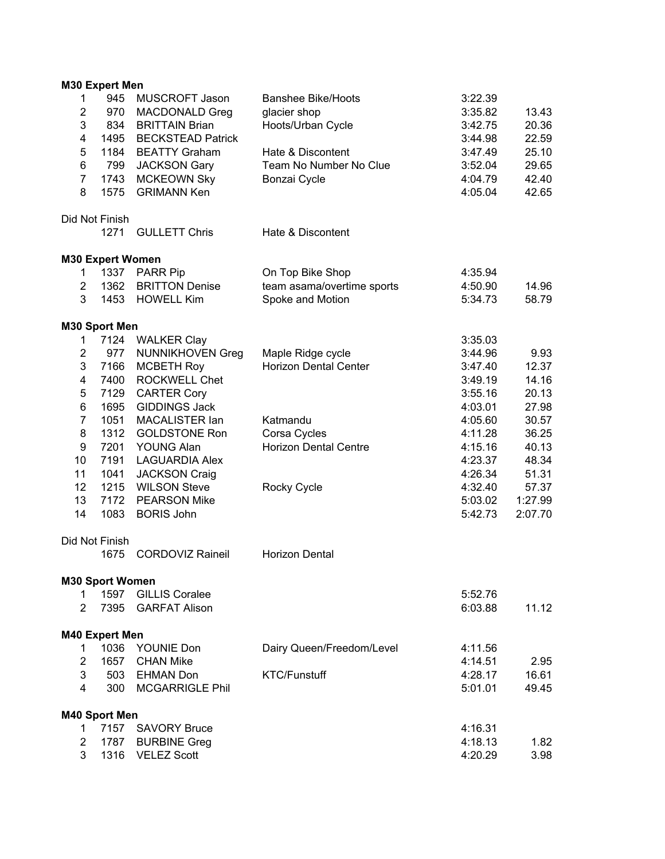|                         | <b>M30 Expert Men</b>   |                          |                              |         |         |
|-------------------------|-------------------------|--------------------------|------------------------------|---------|---------|
| 1                       | 945                     | <b>MUSCROFT Jason</b>    | <b>Banshee Bike/Hoots</b>    | 3:22.39 |         |
| $\mathbf 2$             | 970                     | <b>MACDONALD Greg</b>    | glacier shop                 | 3:35.82 | 13.43   |
| 3                       | 834                     | <b>BRITTAIN Brian</b>    | Hoots/Urban Cycle            | 3:42.75 | 20.36   |
| $\overline{\mathbf{4}}$ | 1495                    | <b>BECKSTEAD Patrick</b> |                              | 3:44.98 | 22.59   |
| 5                       | 1184                    | <b>BEATTY Graham</b>     | Hate & Discontent            | 3:47.49 | 25.10   |
| 6                       | 799                     | <b>JACKSON Gary</b>      | Team No Number No Clue       | 3:52.04 | 29.65   |
| $\overline{7}$          | 1743                    | <b>MCKEOWN Sky</b>       | Bonzai Cycle                 | 4:04.79 | 42.40   |
| 8                       | 1575                    | <b>GRIMANN Ken</b>       |                              | 4:05.04 | 42.65   |
|                         | Did Not Finish          |                          |                              |         |         |
|                         | 1271                    | <b>GULLETT Chris</b>     | Hate & Discontent            |         |         |
|                         | <b>M30 Expert Women</b> |                          |                              |         |         |
| 1                       |                         | 1337 PARR Pip            | On Top Bike Shop             | 4:35.94 |         |
| $\overline{c}$          | 1362                    | <b>BRITTON Denise</b>    | team asama/overtime sports   | 4:50.90 | 14.96   |
| 3                       | 1453                    | <b>HOWELL Kim</b>        | Spoke and Motion             | 5:34.73 | 58.79   |
|                         | M30 Sport Men           |                          |                              |         |         |
| 1                       | 7124                    | <b>WALKER Clay</b>       |                              | 3:35.03 |         |
| $\overline{\mathbf{c}}$ | 977                     | <b>NUNNIKHOVEN Greg</b>  | Maple Ridge cycle            | 3:44.96 | 9.93    |
| 3                       | 7166                    | <b>MCBETH Roy</b>        | <b>Horizon Dental Center</b> | 3:47.40 | 12.37   |
| 4                       | 7400                    | <b>ROCKWELL Chet</b>     |                              | 3:49.19 | 14.16   |
| 5                       | 7129                    | <b>CARTER Cory</b>       |                              | 3:55.16 | 20.13   |
| 6                       | 1695                    | <b>GIDDINGS Jack</b>     |                              | 4:03.01 | 27.98   |
| $\overline{7}$          | 1051                    | MACALISTER Ian           | Katmandu                     | 4:05.60 | 30.57   |
| 8                       | 1312                    | <b>GOLDSTONE Ron</b>     | Corsa Cycles                 | 4:11.28 | 36.25   |
| 9                       | 7201                    | YOUNG Alan               | <b>Horizon Dental Centre</b> | 4:15.16 | 40.13   |
| 10                      | 7191                    | <b>LAGUARDIA Alex</b>    |                              | 4:23.37 | 48.34   |
| 11                      | 1041                    | <b>JACKSON Craig</b>     |                              | 4:26.34 | 51.31   |
| 12                      | 1215                    | <b>WILSON Steve</b>      | Rocky Cycle                  | 4:32.40 | 57.37   |
| 13                      | 7172                    | <b>PEARSON Mike</b>      |                              | 5:03.02 | 1:27.99 |
| 14                      | 1083                    | <b>BORIS John</b>        |                              | 5:42.73 | 2:07.70 |
|                         | Did Not Finish          |                          |                              |         |         |
|                         | 1675                    | <b>CORDOVIZ Raineil</b>  | <b>Horizon Dental</b>        |         |         |
|                         | <b>M30 Sport Women</b>  |                          |                              |         |         |
| 1.                      | 1597                    | <b>GILLIS Coralee</b>    |                              | 5:52.76 |         |
| $\overline{2}$          | 7395                    | <b>GARFAT Alison</b>     |                              | 6:03.88 | 11.12   |
|                         | M40 Expert Men          |                          |                              |         |         |
| 1.                      |                         | 1036 YOUNIE Don          | Dairy Queen/Freedom/Level    | 4:11.56 |         |
| $\overline{2}$          |                         | 1657 CHAN Mike           |                              | 4:14.51 | 2.95    |
| 3                       |                         | 503 EHMAN Don            | <b>KTC/Funstuff</b>          | 4:28.17 | 16.61   |
| $\overline{4}$          | 300                     | <b>MCGARRIGLE Phil</b>   |                              | 5:01.01 | 49.45   |
|                         | M40 Sport Men           |                          |                              |         |         |
| 1                       |                         | 7157 SAVORY Bruce        |                              | 4:16.31 |         |
| $\overline{2}$          |                         | 1787 BURBINE Greg        |                              | 4:18.13 | 1.82    |
| 3                       |                         | 1316 VELEZ Scott         |                              | 4:20.29 | 3.98    |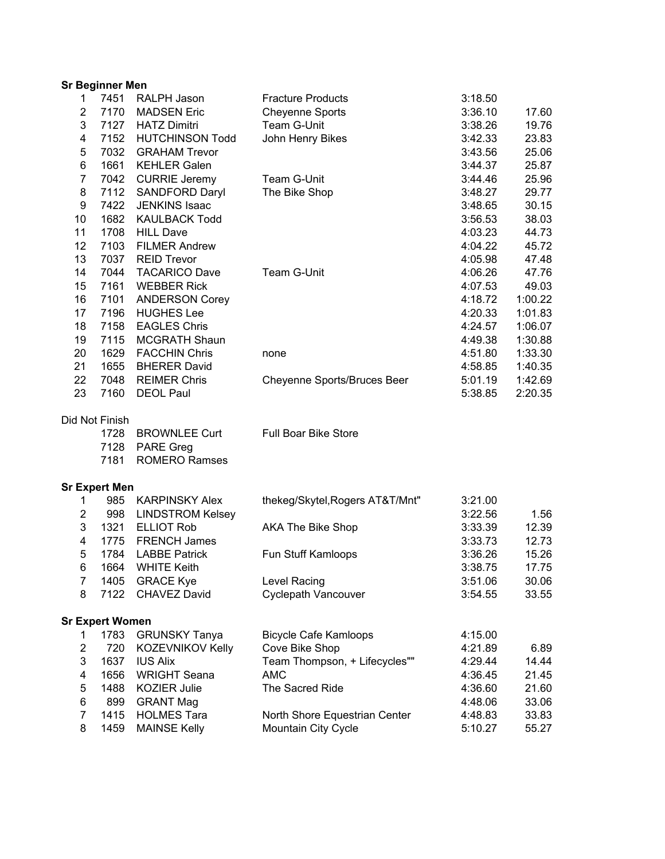| <b>Sr Beginner Men</b> |
|------------------------|
|------------------------|

|                     |                        |                                   | <b>Fracture Products</b>        | 3:18.50 |         |
|---------------------|------------------------|-----------------------------------|---------------------------------|---------|---------|
| 1<br>$\overline{2}$ | 7451<br>7170           | RALPH Jason<br><b>MADSEN Eric</b> | <b>Cheyenne Sports</b>          | 3:36.10 | 17.60   |
| 3                   | 7127                   | <b>HATZ Dimitri</b>               | Team G-Unit                     | 3:38.26 | 19.76   |
| 4                   | 7152                   | <b>HUTCHINSON Todd</b>            | John Henry Bikes                | 3:42.33 | 23.83   |
| 5                   | 7032                   | <b>GRAHAM Trevor</b>              |                                 | 3:43.56 | 25.06   |
| 6                   | 1661                   | <b>KEHLER Galen</b>               |                                 | 3:44.37 | 25.87   |
| $\overline{7}$      | 7042                   | <b>CURRIE Jeremy</b>              | Team G-Unit                     | 3:44.46 | 25.96   |
| 8                   | 7112                   | SANDFORD Daryl                    | The Bike Shop                   | 3:48.27 | 29.77   |
| 9                   | 7422                   | <b>JENKINS Isaac</b>              |                                 | 3:48.65 | 30.15   |
| 10                  | 1682                   | <b>KAULBACK Todd</b>              |                                 | 3:56.53 | 38.03   |
| 11                  | 1708                   | <b>HILL Dave</b>                  |                                 | 4:03.23 | 44.73   |
| 12                  | 7103                   | <b>FILMER Andrew</b>              |                                 | 4:04.22 | 45.72   |
| 13                  | 7037                   | <b>REID Trevor</b>                |                                 | 4:05.98 | 47.48   |
| 14                  | 7044                   | <b>TACARICO Dave</b>              | Team G-Unit                     | 4:06.26 | 47.76   |
| 15                  | 7161                   | <b>WEBBER Rick</b>                |                                 | 4:07.53 | 49.03   |
| 16                  | 7101                   | <b>ANDERSON Corey</b>             |                                 | 4:18.72 | 1:00.22 |
| 17                  | 7196                   | <b>HUGHES Lee</b>                 |                                 | 4:20.33 | 1:01.83 |
| 18                  | 7158                   | <b>EAGLES Chris</b>               |                                 | 4:24.57 | 1:06.07 |
| 19                  | 7115                   | <b>MCGRATH Shaun</b>              |                                 | 4:49.38 | 1:30.88 |
| 20                  | 1629                   | <b>FACCHIN Chris</b>              | none                            | 4:51.80 | 1:33.30 |
| 21                  | 1655                   | <b>BHERER David</b>               |                                 | 4:58.85 | 1:40.35 |
| 22                  | 7048                   | <b>REIMER Chris</b>               | Cheyenne Sports/Bruces Beer     | 5:01.19 | 1:42.69 |
| 23                  | 7160                   | <b>DEOL Paul</b>                  |                                 | 5:38.85 | 2:20.35 |
|                     |                        |                                   |                                 |         |         |
|                     | Did Not Finish         |                                   |                                 |         |         |
|                     | 1728                   | <b>BROWNLEE Curt</b>              | Full Boar Bike Store            |         |         |
|                     | 7128                   | <b>PARE Greg</b>                  |                                 |         |         |
|                     | 7181                   | <b>ROMERO Ramses</b>              |                                 |         |         |
|                     | Sr Expert Men          |                                   |                                 |         |         |
| 1                   | 985                    | <b>KARPINSKY Alex</b>             | thekeg/Skytel, Rogers AT&T/Mnt" | 3:21.00 |         |
| 2                   | 998                    | <b>LINDSTROM Kelsey</b>           |                                 | 3:22.56 | 1.56    |
| 3                   | 1321                   | <b>ELLIOT Rob</b>                 | <b>AKA The Bike Shop</b>        | 3:33.39 | 12.39   |
| 4                   | 1775                   | <b>FRENCH James</b>               |                                 | 3:33.73 | 12.73   |
| 5                   | 1784                   | <b>LABBE Patrick</b>              | Fun Stuff Kamloops              | 3:36.26 | 15.26   |
| 6                   | 1664                   | <b>WHITE Keith</b>                |                                 | 3:38.75 | 17.75   |
| 7                   | 1405                   | <b>GRACE Kye</b>                  | Level Racing                    | 3:51.06 | 30.06   |
| 8                   | 7122                   | <b>CHAVEZ David</b>               | <b>Cyclepath Vancouver</b>      | 3:54.55 | 33.55   |
|                     |                        |                                   |                                 |         |         |
|                     | <b>Sr Expert Women</b> |                                   |                                 |         |         |
| 1                   | 1783                   | <b>GRUNSKY Tanya</b>              | <b>Bicycle Cafe Kamloops</b>    | 4:15.00 |         |
| $\overline{2}$      | 720                    | KOZEVNIKOV Kelly                  | Cove Bike Shop                  | 4:21.89 | 6.89    |
| 3                   | 1637                   | <b>IUS Alix</b>                   | Team Thompson, + Lifecycles""   | 4:29.44 | 14.44   |
| $\overline{4}$      | 1656                   | <b>WRIGHT Seana</b>               | <b>AMC</b>                      | 4:36.45 | 21.45   |

6 899 GRANT Mag<br>7 1415 HOLMES Tara **148.06** North Shore Equestrian Center 4:48.83 33.83 7 1415 HOLMES Tara North Shore Equestrian Center 4:48.83 33.83<br>8 1459 MAINSE Kelly Mountain City Cycle 5:10.27 55.27 8 1459 MAINSE Kelly Mountain City Cycle 5:10.27 55.27

5 1488 KOZIER Julie The Sacred Ride 4:36.60 21.60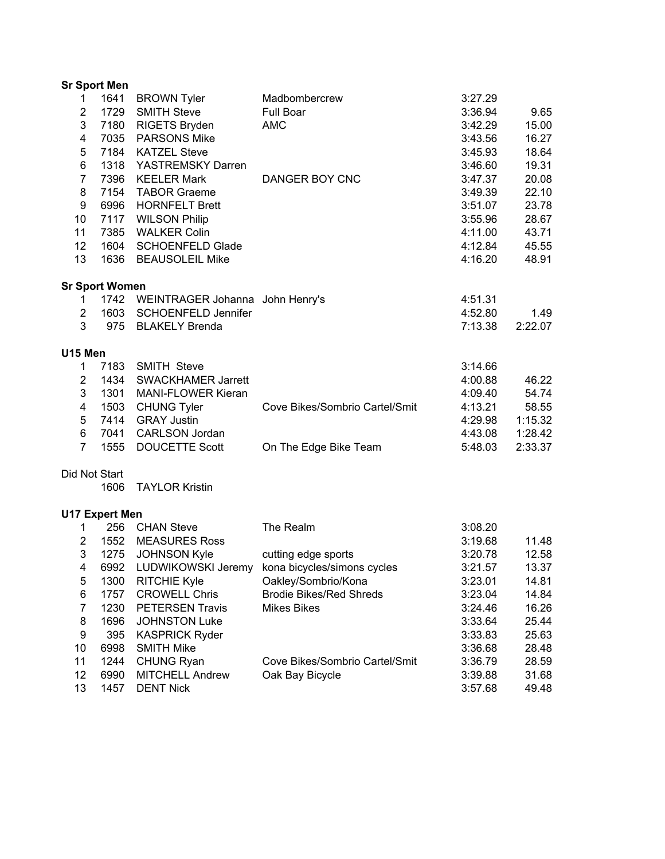|                         | <b>Sr Sport Men</b>   |                                      |                                |         |         |
|-------------------------|-----------------------|--------------------------------------|--------------------------------|---------|---------|
| $\mathbf{1}$            | 1641                  | <b>BROWN Tyler</b>                   | Madbombercrew                  | 3:27.29 |         |
| $\overline{\mathbf{c}}$ | 1729                  | <b>SMITH Steve</b>                   | Full Boar                      | 3:36.94 | 9.65    |
| 3                       | 7180                  | <b>RIGETS Bryden</b>                 | <b>AMC</b>                     | 3:42.29 | 15.00   |
| 4                       | 7035                  | <b>PARSONS Mike</b>                  |                                | 3:43.56 | 16.27   |
| 5                       | 7184                  | <b>KATZEL Steve</b>                  |                                | 3:45.93 | 18.64   |
| 6                       | 1318                  | YASTREMSKY Darren                    |                                | 3:46.60 | 19.31   |
| $\overline{7}$          | 7396                  | <b>KEELER Mark</b>                   | DANGER BOY CNC                 | 3:47.37 | 20.08   |
| 8                       | 7154                  | <b>TABOR Graeme</b>                  |                                | 3:49.39 | 22.10   |
| 9                       | 6996                  | <b>HORNFELT Brett</b>                |                                | 3:51.07 | 23.78   |
| 10                      | 7117                  | <b>WILSON Philip</b>                 |                                | 3:55.96 | 28.67   |
| 11                      | 7385                  | <b>WALKER Colin</b>                  |                                | 4:11.00 | 43.71   |
| 12                      | 1604                  | <b>SCHOENFELD Glade</b>              |                                | 4:12.84 | 45.55   |
| 13                      | 1636                  | <b>BEAUSOLEIL Mike</b>               |                                | 4:16.20 | 48.91   |
|                         | <b>Sr Sport Women</b> |                                      |                                |         |         |
| 1.                      |                       | 1742 WEINTRAGER Johanna John Henry's |                                | 4:51.31 |         |
| $\overline{2}$          |                       | 1603 SCHOENFELD Jennifer             |                                | 4:52.80 | 1.49    |
| 3                       |                       | 975 BLAKELY Brenda                   |                                | 7:13.38 | 2:22.07 |
| U15 Men                 |                       |                                      |                                |         |         |
| $\mathbf{1}$            | 7183                  | <b>SMITH Steve</b>                   |                                | 3:14.66 |         |
| $\overline{c}$          | 1434                  | <b>SWACKHAMER Jarrett</b>            |                                | 4:00.88 | 46.22   |
| 3                       | 1301                  | <b>MANI-FLOWER Kieran</b>            |                                | 4:09.40 | 54.74   |
| $\overline{\mathbf{4}}$ | 1503                  | <b>CHUNG Tyler</b>                   | Cove Bikes/Sombrio Cartel/Smit | 4:13.21 | 58.55   |
| 5                       | 7414                  | <b>GRAY Justin</b>                   |                                | 4:29.98 | 1:15.32 |
| 6                       | 7041                  | <b>CARLSON Jordan</b>                |                                | 4:43.08 | 1:28.42 |
| $\overline{7}$          | 1555                  | <b>DOUCETTE Scott</b>                | On The Edge Bike Team          | 5:48.03 | 2:33.37 |
| Did Not Start           |                       |                                      |                                |         |         |
|                         | 1606                  | <b>TAYLOR Kristin</b>                |                                |         |         |
|                         | <b>U17 Expert Men</b> |                                      |                                |         |         |
| 1.                      | 256                   | <b>CHAN Steve</b>                    | The Realm                      | 3:08.20 |         |
| $\overline{2}$          | 1552                  | <b>MEASURES Ross</b>                 |                                | 3:19.68 | 11.48   |
| 3                       | 1275                  | <b>JOHNSON Kyle</b>                  | cutting edge sports            | 3:20.78 | 12.58   |
| 4                       | 6992                  | LUDWIKOWSKI Jeremy                   | kona bicycles/simons cycles    | 3:21.57 | 13.37   |
| 5                       | 1300                  | <b>RITCHIE Kyle</b>                  | Oakley/Sombrio/Kona            | 3:23.01 | 14.81   |
| 6                       | 1757                  | <b>CROWELL Chris</b>                 | <b>Brodie Bikes/Red Shreds</b> | 3:23.04 | 14.84   |
| $\overline{7}$          | 1230                  | <b>PETERSEN Travis</b>               | <b>Mikes Bikes</b>             | 3:24.46 | 16.26   |
| 8                       | 1696                  | <b>JOHNSTON Luke</b>                 |                                | 3:33.64 | 25.44   |
| 9                       | 395                   | <b>KASPRICK Ryder</b>                |                                | 3:33.83 | 25.63   |
| 10                      | 6998                  | <b>SMITH Mike</b>                    |                                | 3:36.68 | 28.48   |
| 11                      | 1244                  | <b>CHUNG Ryan</b>                    | Cove Bikes/Sombrio Cartel/Smit | 3:36.79 | 28.59   |
| 12                      | 6990                  | <b>MITCHELL Andrew</b>               | Oak Bay Bicycle                | 3:39.88 | 31.68   |
| 13                      | 1457                  | <b>DENT Nick</b>                     |                                | 3:57.68 | 49.48   |